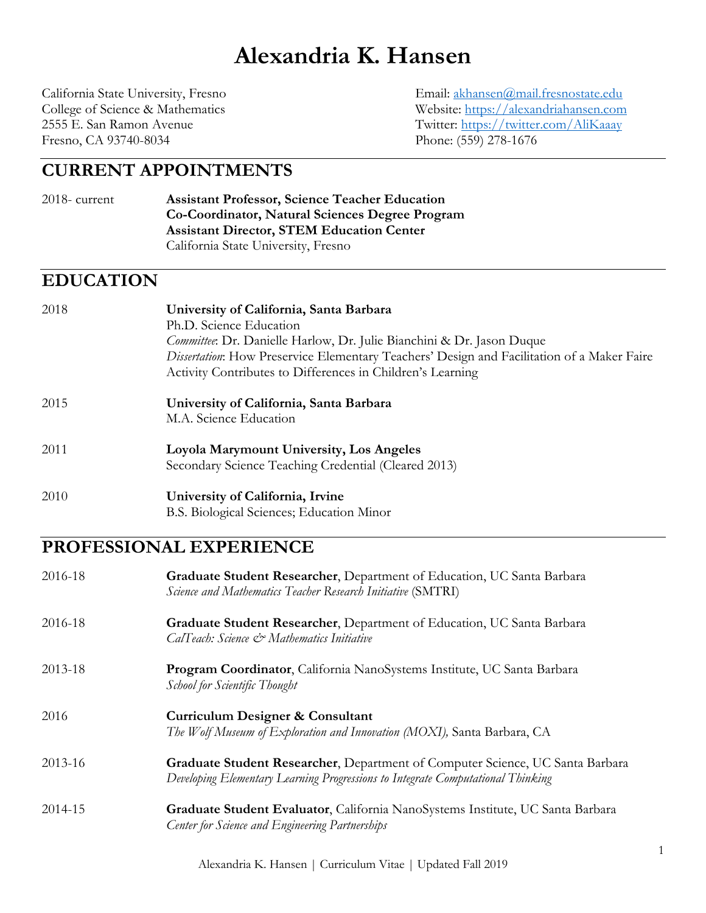# **Alexandria K. Hansen**

Fresno, CA 93740-8034 Phone: (559) 278-1676

California State University, Fresno Email: akhansen@mail.fresnostate.edu College of Science & Mathematics Website: https://alexandriahansen.com 2555 E. San Ramon Avenue Twitter: https://twitter.com/AliKaaay

# **CURRENT APPOINTMENTS**

#### 2018- current **Assistant Professor, Science Teacher Education Co-Coordinator, Natural Sciences Degree Program Assistant Director, STEM Education Center**  California State University, Fresno

# **EDUCATION**

| 2018 | University of California, Santa Barbara<br>Ph.D. Science Education<br><i>Committee</i> : Dr. Danielle Harlow, Dr. Julie Bianchini & Dr. Jason Duque<br>Dissertation: How Preservice Elementary Teachers' Design and Facilitation of a Maker Faire<br>Activity Contributes to Differences in Children's Learning |
|------|-----------------------------------------------------------------------------------------------------------------------------------------------------------------------------------------------------------------------------------------------------------------------------------------------------------------|
| 2015 | University of California, Santa Barbara<br>M.A. Science Education                                                                                                                                                                                                                                               |
| 2011 | <b>Loyola Marymount University, Los Angeles</b><br>Secondary Science Teaching Credential (Cleared 2013)                                                                                                                                                                                                         |
| 2010 | University of California, Irvine<br>B.S. Biological Sciences; Education Minor                                                                                                                                                                                                                                   |

# **PROFESSIONAL EXPERIENCE**

| 2016-18 | Graduate Student Researcher, Department of Education, UC Santa Barbara<br>Science and Mathematics Teacher Research Initiative (SMTRI)                            |
|---------|------------------------------------------------------------------------------------------------------------------------------------------------------------------|
| 2016-18 | Graduate Student Researcher, Department of Education, UC Santa Barbara<br>CalTeach: Science & Mathematics Initiative                                             |
| 2013-18 | Program Coordinator, California NanoSystems Institute, UC Santa Barbara<br>School for Scientific Thought                                                         |
| 2016    | <b>Curriculum Designer &amp; Consultant</b><br>The Wolf Museum of Exploration and Innovation (MOXI), Santa Barbara, CA                                           |
| 2013-16 | Graduate Student Researcher, Department of Computer Science, UC Santa Barbara<br>Developing Elementary Learning Progressions to Integrate Computational Thinking |
| 2014-15 | Graduate Student Evaluator, California NanoSystems Institute, UC Santa Barbara<br>Center for Science and Engineering Partnerships                                |
|         |                                                                                                                                                                  |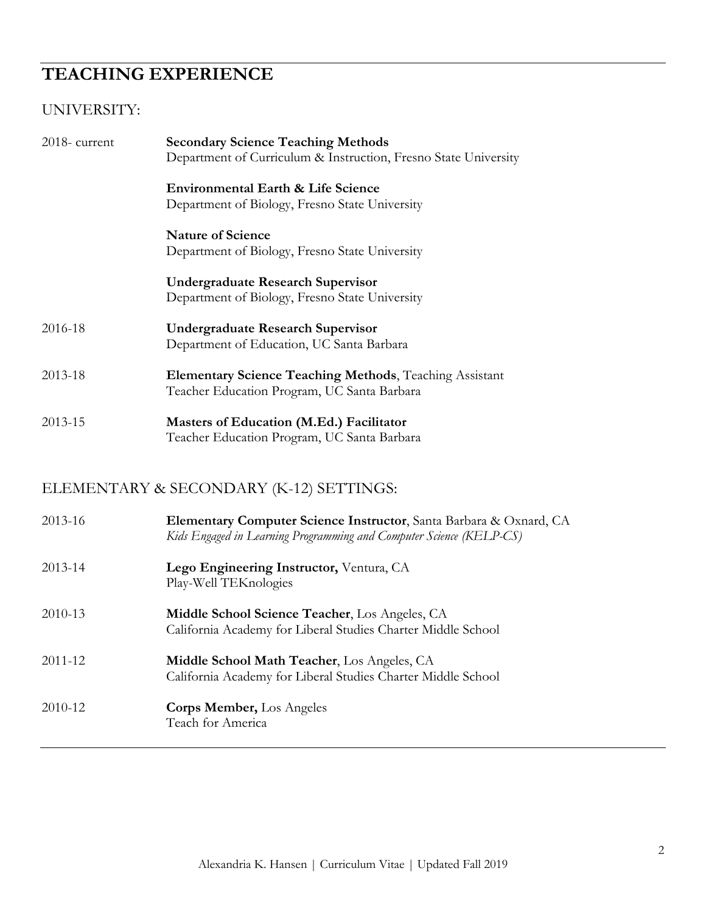# **TEACHING EXPERIENCE**

# UNIVERSITY:

| 2018-current | <b>Secondary Science Teaching Methods</b><br>Department of Curriculum & Instruction, Fresno State University                              |
|--------------|-------------------------------------------------------------------------------------------------------------------------------------------|
|              | <b>Environmental Earth &amp; Life Science</b><br>Department of Biology, Fresno State University                                           |
|              | <b>Nature of Science</b><br>Department of Biology, Fresno State University                                                                |
|              | <b>Undergraduate Research Supervisor</b><br>Department of Biology, Fresno State University                                                |
| 2016-18      | <b>Undergraduate Research Supervisor</b><br>Department of Education, UC Santa Barbara                                                     |
| 2013-18      | <b>Elementary Science Teaching Methods, Teaching Assistant</b><br>Teacher Education Program, UC Santa Barbara                             |
| 2013-15      | Masters of Education (M.Ed.) Facilitator<br>Teacher Education Program, UC Santa Barbara                                                   |
|              | ELEMENTARY & SECONDARY (K-12) SETTINGS:                                                                                                   |
| 2013-16      | Elementary Computer Science Instructor, Santa Barbara & Oxnard, CA<br>Kids Engaged in Learning Programming and Computer Science (KELP-CS) |

- 2013-14 **Lego Engineering Instructor,** Ventura, CA Play-Well TEKnologies
- 2010-13 **Middle School Science Teacher**, Los Angeles, CA California Academy for Liberal Studies Charter Middle School
- 2011-12 **Middle School Math Teacher**, Los Angeles, CA California Academy for Liberal Studies Charter Middle School

| 2010-12 | <b>Corps Member, Los Angeles</b> |
|---------|----------------------------------|
|         | Teach for America                |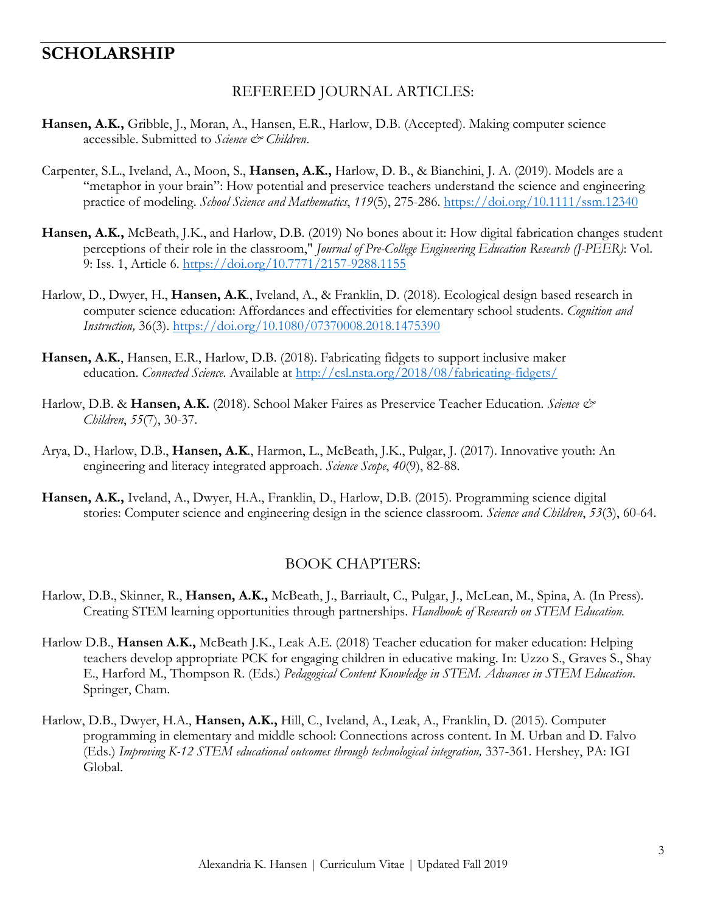# **SCHOLARSHIP**

#### REFEREED JOURNAL ARTICLES:

- **Hansen, A.K.,** Gribble, J., Moran, A., Hansen, E.R., Harlow, D.B. (Accepted). Making computer science accessible. Submitted to *Science & Children*.
- Carpenter, S.L., Iveland, A., Moon, S., **Hansen, A.K.,** Harlow, D. B., & Bianchini, J. A. (2019). Models are a "metaphor in your brain": How potential and preservice teachers understand the science and engineering practice of modeling. *School Science and Mathematics*, *119*(5), 275-286. https://doi.org/10.1111/ssm.12340
- **Hansen, A.K.,** McBeath, J.K., and Harlow, D.B. (2019) No bones about it: How digital fabrication changes student perceptions of their role in the classroom," *Journal of Pre-College Engineering Education Research (J-PEER)*: Vol. 9: Iss. 1, Article 6. https://doi.org/10.7771/2157-9288.1155
- Harlow, D., Dwyer, H., **Hansen, A.K**., Iveland, A., & Franklin, D. (2018). Ecological design based research in computer science education: Affordances and effectivities for elementary school students. *Cognition and Instruction,* 36(3). https://doi.org/10.1080/07370008.2018.1475390
- **Hansen, A.K.**, Hansen, E.R., Harlow, D.B. (2018). Fabricating fidgets to support inclusive maker education. *Connected Science*. Available at http://csl.nsta.org/2018/08/fabricating-fidgets/
- Harlow, D.B. & **Hansen, A.K.** (2018). School Maker Faires as Preservice Teacher Education. *Science & Children*, *55*(7), 30-37.
- Arya, D., Harlow, D.B., **Hansen, A.K**., Harmon, L., McBeath, J.K., Pulgar, J. (2017). Innovative youth: An engineering and literacy integrated approach. *Science Scope*, *40*(9), 82-88.
- **Hansen, A.K.,** Iveland, A., Dwyer, H.A., Franklin, D., Harlow, D.B. (2015). Programming science digital stories: Computer science and engineering design in the science classroom. *Science and Children*, *53*(3), 60-64.

#### BOOK CHAPTERS:

- Harlow, D.B., Skinner, R., **Hansen, A.K.,** McBeath, J., Barriault, C., Pulgar, J., McLean, M., Spina, A. (In Press). Creating STEM learning opportunities through partnerships. *Handbook of Research on STEM Education.*
- Harlow D.B., **Hansen A.K.,** McBeath J.K., Leak A.E. (2018) Teacher education for maker education: Helping teachers develop appropriate PCK for engaging children in educative making. In: Uzzo S., Graves S., Shay E., Harford M., Thompson R. (Eds.) *Pedagogical Content Knowledge in STEM. Advances in STEM Education*. Springer, Cham.
- Harlow, D.B., Dwyer, H.A., **Hansen, A.K.,** Hill, C., Iveland, A., Leak, A., Franklin, D. (2015). Computer programming in elementary and middle school: Connections across content. In M. Urban and D. Falvo (Eds.) *Improving K-12 STEM educational outcomes through technological integration,* 337-361. Hershey, PA: IGI Global.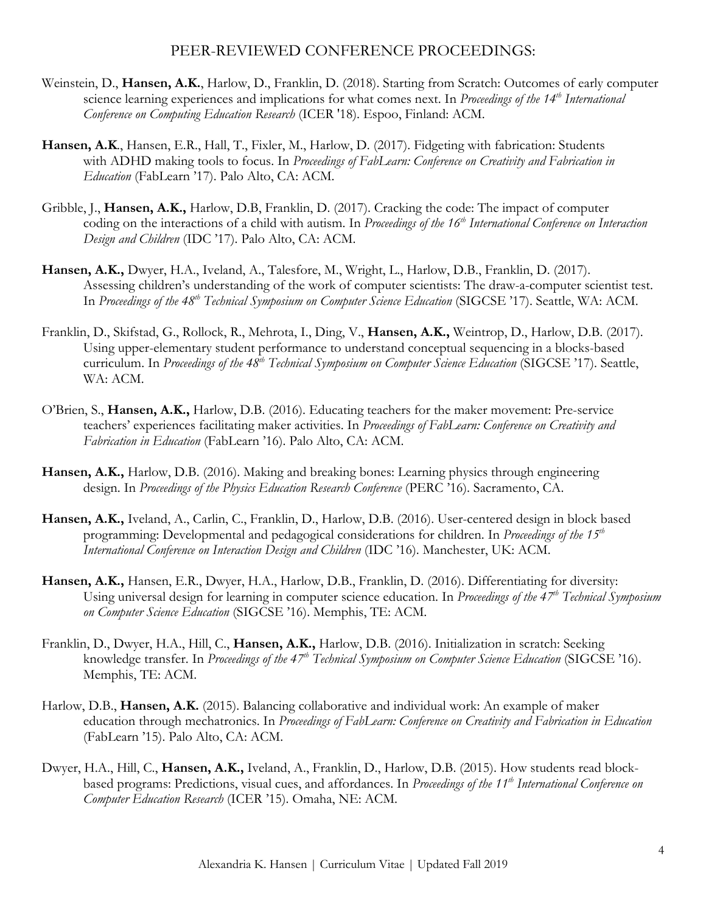### PEER-REVIEWED CONFERENCE PROCEEDINGS:

- Weinstein, D., **Hansen, A.K.**, Harlow, D., Franklin, D. (2018). Starting from Scratch: Outcomes of early computer science learning experiences and implications for what comes next. In *Proceedings of the 14th International Conference on Computing Education Research* (ICER '18). Espoo, Finland: ACM.
- **Hansen, A.K**., Hansen, E.R., Hall, T., Fixler, M., Harlow, D. (2017). Fidgeting with fabrication: Students with ADHD making tools to focus. In *Proceedings of FabLearn: Conference on Creativity and Fabrication in Education* (FabLearn '17). Palo Alto, CA: ACM.
- Gribble, J., **Hansen, A.K.,** Harlow, D.B, Franklin, D. (2017). Cracking the code: The impact of computer coding on the interactions of a child with autism. In *Proceedings of the 16th International Conference on Interaction Design and Children* (IDC '17). Palo Alto, CA: ACM.
- **Hansen, A.K.,** Dwyer, H.A., Iveland, A., Talesfore, M., Wright, L., Harlow, D.B., Franklin, D. (2017). Assessing children's understanding of the work of computer scientists: The draw-a-computer scientist test. In *Proceedings of the 48th Technical Symposium on Computer Science Education* (SIGCSE '17). Seattle, WA: ACM.
- Franklin, D., Skifstad, G., Rollock, R., Mehrota, I., Ding, V., **Hansen, A.K.,** Weintrop, D., Harlow, D.B. (2017). Using upper-elementary student performance to understand conceptual sequencing in a blocks-based curriculum. In *Proceedings of the 48th Technical Symposium on Computer Science Education* (SIGCSE '17). Seattle, WA: ACM.
- O'Brien, S., **Hansen, A.K.,** Harlow, D.B. (2016). Educating teachers for the maker movement: Pre-service teachers' experiences facilitating maker activities. In *Proceedings of FabLearn: Conference on Creativity and Fabrication in Education* (FabLearn '16). Palo Alto, CA: ACM.
- **Hansen, A.K.,** Harlow, D.B. (2016). Making and breaking bones: Learning physics through engineering design. In *Proceedings of the Physics Education Research Conference* (PERC '16). Sacramento, CA.
- **Hansen, A.K.,** Iveland, A., Carlin, C., Franklin, D., Harlow, D.B. (2016). User-centered design in block based programming: Developmental and pedagogical considerations for children. In *Proceedings of the 15th International Conference on Interaction Design and Children* (IDC '16). Manchester, UK: ACM.
- **Hansen, A.K.,** Hansen, E.R., Dwyer, H.A., Harlow, D.B., Franklin, D. (2016). Differentiating for diversity: Using universal design for learning in computer science education. In *Proceedings of the 47th Technical Symposium on Computer Science Education* (SIGCSE '16). Memphis, TE: ACM.
- Franklin, D., Dwyer, H.A., Hill, C., **Hansen, A.K.,** Harlow, D.B. (2016). Initialization in scratch: Seeking knowledge transfer. In *Proceedings of the 47th Technical Symposium on Computer Science Education* (SIGCSE '16). Memphis, TE: ACM.
- Harlow, D.B., **Hansen, A.K.** (2015). Balancing collaborative and individual work: An example of maker education through mechatronics. In *Proceedings of FabLearn: Conference on Creativity and Fabrication in Education* (FabLearn '15). Palo Alto, CA: ACM.
- Dwyer, H.A., Hill, C., **Hansen, A.K.,** Iveland, A., Franklin, D., Harlow, D.B. (2015). How students read blockbased programs: Predictions, visual cues, and affordances. In *Proceedings of the 11<sup>th</sup> International Conference on Computer Education Research* (ICER '15). Omaha, NE: ACM.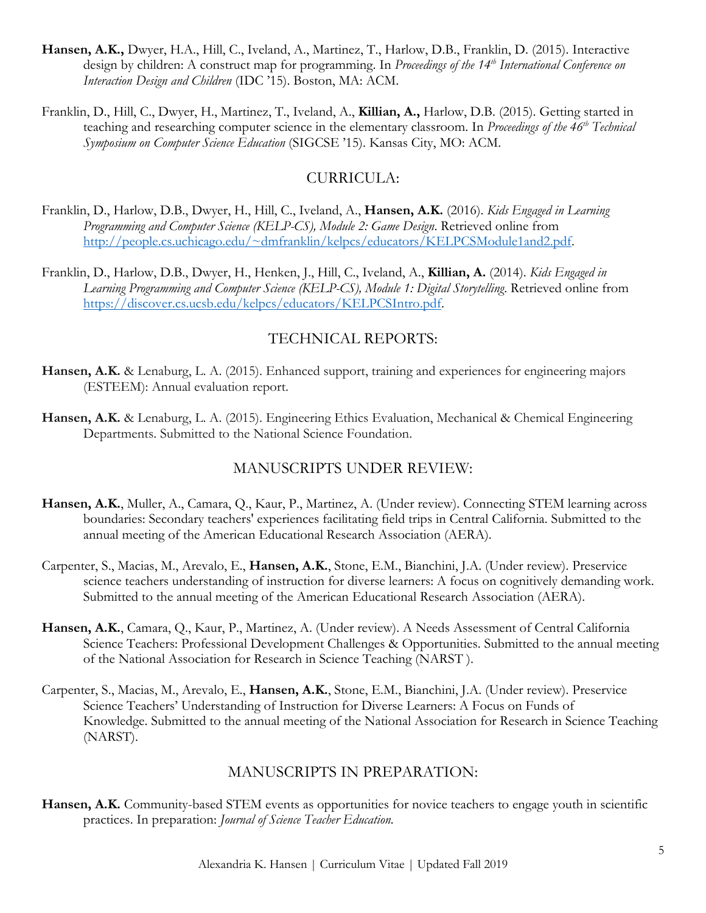- **Hansen, A.K.,** Dwyer, H.A., Hill, C., Iveland, A., Martinez, T., Harlow, D.B., Franklin, D. (2015). Interactive design by children: A construct map for programming. In *Proceedings of the 14th International Conference on Interaction Design and Children* (IDC '15). Boston, MA: ACM.
- Franklin, D., Hill, C., Dwyer, H., Martinez, T., Iveland, A., **Killian, A.,** Harlow, D.B. (2015). Getting started in teaching and researching computer science in the elementary classroom. In *Proceedings of the 46<sup>th</sup> Technical Symposium on Computer Science Education* (SIGCSE '15). Kansas City, MO: ACM.

## CURRICULA:

- Franklin, D., Harlow, D.B., Dwyer, H., Hill, C., Iveland, A., **Hansen, A.K.** (2016). *Kids Engaged in Learning Programming and Computer Science (KELP-CS), Module 2: Game Design*. Retrieved online from http://people.cs.uchicago.edu/~dmfranklin/kelpcs/educators/KELPCSModule1and2.pdf.
- Franklin, D., Harlow, D.B., Dwyer, H., Henken, J., Hill, C., Iveland, A., **Killian, A.** (2014). *Kids Engaged in Learning Programming and Computer Science (KELP-CS), Module 1: Digital Storytelling*. Retrieved online from https://discover.cs.ucsb.edu/kelpcs/educators/KELPCSIntro.pdf.

# TECHNICAL REPORTS:

- **Hansen, A.K.** & Lenaburg, L. A. (2015). Enhanced support, training and experiences for engineering majors (ESTEEM): Annual evaluation report.
- **Hansen, A.K.** & Lenaburg, L. A. (2015). Engineering Ethics Evaluation, Mechanical & Chemical Engineering Departments. Submitted to the National Science Foundation.

### MANUSCRIPTS UNDER REVIEW:

- **Hansen, A.K.**, Muller, A., Camara, Q., Kaur, P., Martinez, A. (Under review). Connecting STEM learning across boundaries: Secondary teachers' experiences facilitating field trips in Central California. Submitted to the annual meeting of the American Educational Research Association (AERA).
- Carpenter, S., Macias, M., Arevalo, E., **Hansen, A.K.**, Stone, E.M., Bianchini, J.A. (Under review). Preservice science teachers understanding of instruction for diverse learners: A focus on cognitively demanding work. Submitted to the annual meeting of the American Educational Research Association (AERA).
- **Hansen, A.K.**, Camara, Q., Kaur, P., Martinez, A. (Under review). A Needs Assessment of Central California Science Teachers: Professional Development Challenges & Opportunities. Submitted to the annual meeting of the National Association for Research in Science Teaching (NARST ).
- Carpenter, S., Macias, M., Arevalo, E., **Hansen, A.K.**, Stone, E.M., Bianchini, J.A. (Under review). Preservice Science Teachers' Understanding of Instruction for Diverse Learners: A Focus on Funds of Knowledge. Submitted to the annual meeting of the National Association for Research in Science Teaching (NARST).

### MANUSCRIPTS IN PREPARATION:

**Hansen, A.K.** Community-based STEM events as opportunities for novice teachers to engage youth in scientific practices. In preparation: *Journal of Science Teacher Education.*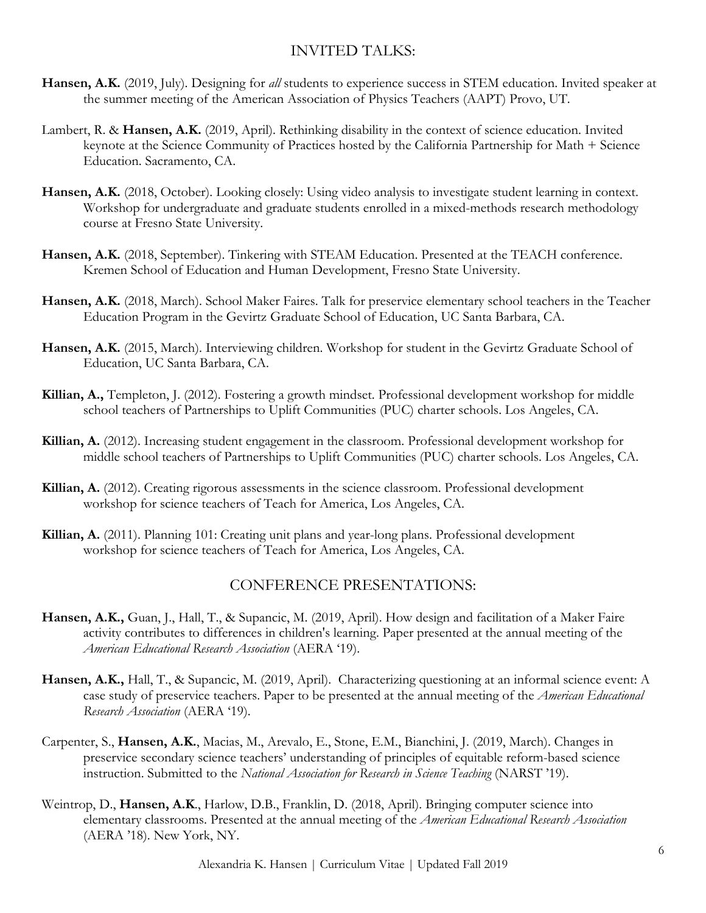# INVITED TALKS:

- **Hansen, A.K.** (2019, July). Designing for *all* students to experience success in STEM education. Invited speaker at the summer meeting of the American Association of Physics Teachers (AAPT) Provo, UT.
- Lambert, R. & **Hansen, A.K.** (2019, April). Rethinking disability in the context of science education. Invited keynote at the Science Community of Practices hosted by the California Partnership for Math + Science Education. Sacramento, CA.
- **Hansen, A.K.** (2018, October). Looking closely: Using video analysis to investigate student learning in context. Workshop for undergraduate and graduate students enrolled in a mixed-methods research methodology course at Fresno State University.
- **Hansen, A.K.** (2018, September). Tinkering with STEAM Education. Presented at the TEACH conference. Kremen School of Education and Human Development, Fresno State University.
- **Hansen, A.K.** (2018, March). School Maker Faires. Talk for preservice elementary school teachers in the Teacher Education Program in the Gevirtz Graduate School of Education, UC Santa Barbara, CA.
- **Hansen, A.K.** (2015, March). Interviewing children. Workshop for student in the Gevirtz Graduate School of Education, UC Santa Barbara, CA.
- **Killian, A.,** Templeton, J. (2012). Fostering a growth mindset. Professional development workshop for middle school teachers of Partnerships to Uplift Communities (PUC) charter schools. Los Angeles, CA.
- **Killian, A.** (2012). Increasing student engagement in the classroom. Professional development workshop for middle school teachers of Partnerships to Uplift Communities (PUC) charter schools. Los Angeles, CA.
- **Killian, A.** (2012). Creating rigorous assessments in the science classroom. Professional development workshop for science teachers of Teach for America, Los Angeles, CA.
- **Killian, A.** (2011). Planning 101: Creating unit plans and year-long plans. Professional development workshop for science teachers of Teach for America, Los Angeles, CA.

### CONFERENCE PRESENTATIONS:

- **Hansen, A.K.,** Guan, J., Hall, T., & Supancic, M. (2019, April). How design and facilitation of a Maker Faire activity contributes to differences in children's learning. Paper presented at the annual meeting of the *American Educational Research Association* (AERA '19).
- **Hansen, A.K.,** Hall, T., & Supancic, M. (2019, April). Characterizing questioning at an informal science event: A case study of preservice teachers. Paper to be presented at the annual meeting of the *American Educational Research Association* (AERA '19).
- Carpenter, S., **Hansen, A.K.**, Macias, M., Arevalo, E., Stone, E.M., Bianchini, J. (2019, March). Changes in preservice secondary science teachers' understanding of principles of equitable reform-based science instruction. Submitted to the *National Association for Research in Science Teaching* (NARST '19).
- Weintrop, D., **Hansen, A.K**., Harlow, D.B., Franklin, D. (2018, April). Bringing computer science into elementary classrooms. Presented at the annual meeting of the *American Educational Research Association* (AERA '18). New York, NY.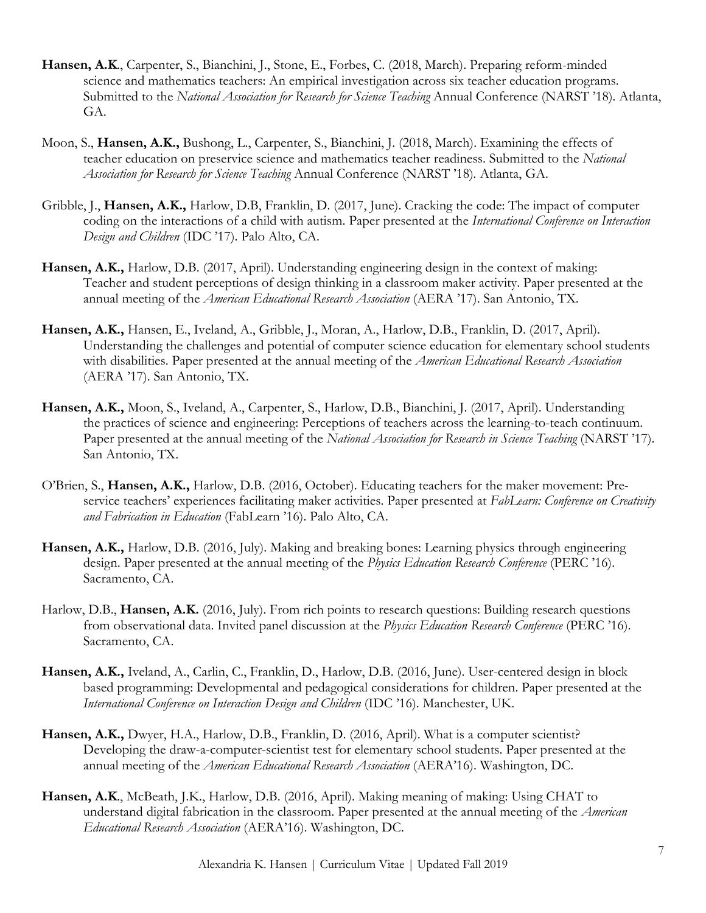- **Hansen, A.K**., Carpenter, S., Bianchini, J., Stone, E., Forbes, C. (2018, March). Preparing reform-minded science and mathematics teachers: An empirical investigation across six teacher education programs. Submitted to the *National Association for Research for Science Teaching* Annual Conference (NARST '18)*.* Atlanta, GA.
- Moon, S., **Hansen, A.K.,** Bushong, L., Carpenter, S., Bianchini, J. (2018, March). Examining the effects of teacher education on preservice science and mathematics teacher readiness. Submitted to the *National Association for Research for Science Teaching* Annual Conference (NARST '18)*.* Atlanta, GA.
- Gribble, J., **Hansen, A.K.,** Harlow, D.B, Franklin, D. (2017, June). Cracking the code: The impact of computer coding on the interactions of a child with autism. Paper presented at the *International Conference on Interaction Design and Children* (IDC '17). Palo Alto, CA.
- **Hansen, A.K.,** Harlow, D.B. (2017, April). Understanding engineering design in the context of making: Teacher and student perceptions of design thinking in a classroom maker activity. Paper presented at the annual meeting of the *American Educational Research Association* (AERA '17). San Antonio, TX.
- **Hansen, A.K.,** Hansen, E., Iveland, A., Gribble, J., Moran, A., Harlow, D.B., Franklin, D. (2017, April). Understanding the challenges and potential of computer science education for elementary school students with disabilities. Paper presented at the annual meeting of the *American Educational Research Association* (AERA '17). San Antonio, TX.
- **Hansen, A.K.,** Moon, S., Iveland, A., Carpenter, S., Harlow, D.B., Bianchini, J. (2017, April). Understanding the practices of science and engineering: Perceptions of teachers across the learning-to-teach continuum. Paper presented at the annual meeting of the *National Association for Research in Science Teaching* (NARST '17). San Antonio, TX.
- O'Brien, S., **Hansen, A.K.,** Harlow, D.B. (2016, October). Educating teachers for the maker movement: Preservice teachers' experiences facilitating maker activities. Paper presented at *FabLearn: Conference on Creativity and Fabrication in Education* (FabLearn '16). Palo Alto, CA.
- **Hansen, A.K.,** Harlow, D.B. (2016, July). Making and breaking bones: Learning physics through engineering design. Paper presented at the annual meeting of the *Physics Education Research Conference* (PERC '16). Sacramento, CA.
- Harlow, D.B., **Hansen, A.K.** (2016, July). From rich points to research questions: Building research questions from observational data. Invited panel discussion at the *Physics Education Research Conference* (PERC '16). Sacramento, CA.
- **Hansen, A.K.,** Iveland, A., Carlin, C., Franklin, D., Harlow, D.B. (2016, June). User-centered design in block based programming: Developmental and pedagogical considerations for children. Paper presented at the *International Conference on Interaction Design and Children* (IDC '16). Manchester, UK.
- **Hansen, A.K.,** Dwyer, H.A., Harlow, D.B., Franklin, D. (2016, April). What is a computer scientist? Developing the draw-a-computer-scientist test for elementary school students. Paper presented at the annual meeting of the *American Educational Research Association* (AERA'16). Washington, DC.
- **Hansen, A.K**., McBeath, J.K., Harlow, D.B. (2016, April). Making meaning of making: Using CHAT to understand digital fabrication in the classroom. Paper presented at the annual meeting of the *American Educational Research Association* (AERA'16). Washington, DC.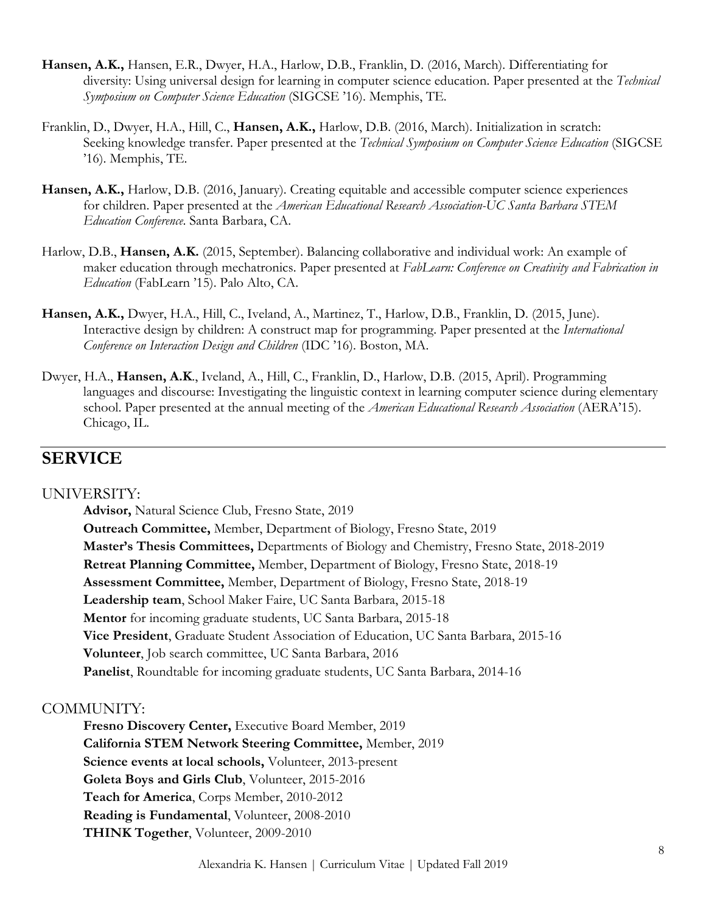- **Hansen, A.K.,** Hansen, E.R., Dwyer, H.A., Harlow, D.B., Franklin, D. (2016, March). Differentiating for diversity: Using universal design for learning in computer science education. Paper presented at the *Technical Symposium on Computer Science Education* (SIGCSE '16). Memphis, TE.
- Franklin, D., Dwyer, H.A., Hill, C., **Hansen, A.K.,** Harlow, D.B. (2016, March). Initialization in scratch: Seeking knowledge transfer. Paper presented at the *Technical Symposium on Computer Science Education* (SIGCSE '16). Memphis, TE.
- **Hansen, A.K.,** Harlow, D.B. (2016, January). Creating equitable and accessible computer science experiences for children. Paper presented at the *American Educational Research Association-UC Santa Barbara STEM Education Conference*. Santa Barbara, CA.
- Harlow, D.B., **Hansen, A.K.** (2015, September). Balancing collaborative and individual work: An example of maker education through mechatronics. Paper presented at *FabLearn: Conference on Creativity and Fabrication in Education* (FabLearn '15). Palo Alto, CA.
- **Hansen, A.K.,** Dwyer, H.A., Hill, C., Iveland, A., Martinez, T., Harlow, D.B., Franklin, D. (2015, June). Interactive design by children: A construct map for programming. Paper presented at the *International Conference on Interaction Design and Children* (IDC '16). Boston, MA.
- Dwyer, H.A., **Hansen, A.K**., Iveland, A., Hill, C., Franklin, D., Harlow, D.B. (2015, April). Programming languages and discourse: Investigating the linguistic context in learning computer science during elementary school. Paper presented at the annual meeting of the *American Educational Research Association* (AERA'15). Chicago, IL.

# **SERVICE**

### UNIVERSITY:

**Advisor,** Natural Science Club, Fresno State, 2019 **Outreach Committee,** Member, Department of Biology, Fresno State, 2019 **Master's Thesis Committees,** Departments of Biology and Chemistry, Fresno State, 2018-2019 **Retreat Planning Committee,** Member, Department of Biology, Fresno State, 2018-19 **Assessment Committee,** Member, Department of Biology, Fresno State, 2018-19 **Leadership team**, School Maker Faire, UC Santa Barbara, 2015-18 **Mentor** for incoming graduate students, UC Santa Barbara, 2015-18 **Vice President**, Graduate Student Association of Education, UC Santa Barbara, 2015-16 **Volunteer**, Job search committee, UC Santa Barbara, 2016 **Panelist**, Roundtable for incoming graduate students, UC Santa Barbara, 2014-16

### COMMUNITY:

**Fresno Discovery Center,** Executive Board Member, 2019 **California STEM Network Steering Committee,** Member, 2019 **Science events at local schools,** Volunteer, 2013-present **Goleta Boys and Girls Club**, Volunteer, 2015-2016 **Teach for America**, Corps Member, 2010-2012 **Reading is Fundamental**, Volunteer, 2008-2010 **THINK Together**, Volunteer, 2009-2010